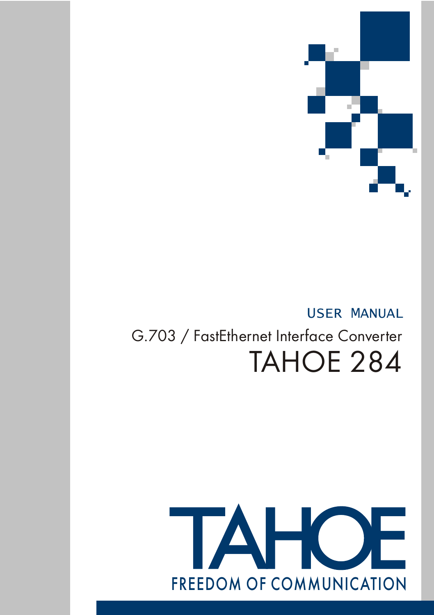

## USER MANUAL

# G.703 / FastEthernet Interface Converter TAHOE 284

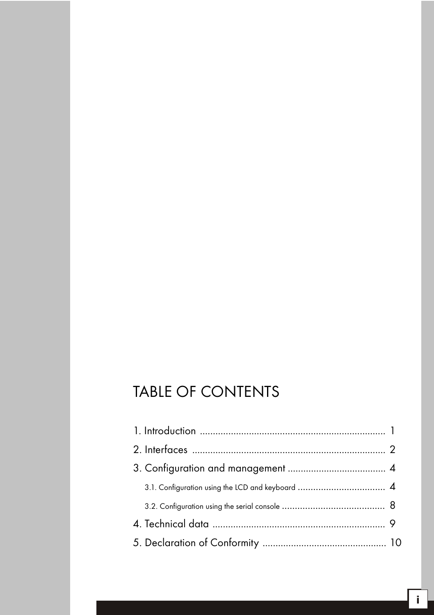## TABLE OF CONTENTS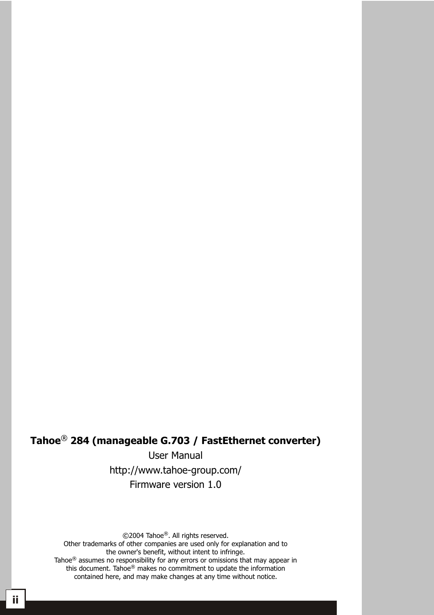### ® **Tahoe 284 (manageable G.703 / FastEthernet converter)**

User Manual http://www.tahoe-group.com/ Firmware version 1.0

©2004 Tahoe®. All rights reserved.

Other trademarks of other companies are used only for explanation and to the owner's benefit, without intent to infringe. Tahoe $<sup>®</sup>$  assumes no responsibility for any errors or omissions that may appear in</sup> this document. Tahoe® makes no commitment to update the information contained here, and may make changes at any time without notice.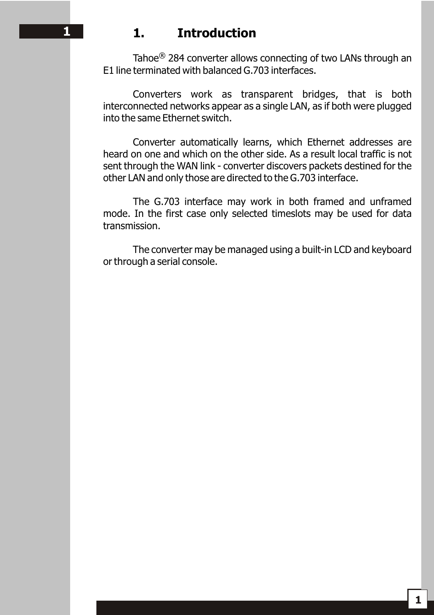## **1 1. Introduction**

Tahoe<sup>®</sup> 284 converter allows connecting of two LANs through an E1 line terminated with balanced G.703 interfaces.

Converters work as transparent bridges, that is both interconnected networks appear as a single LAN, as if both were plugged into the same Ethernet switch.

Converter automatically learns, which Ethernet addresses are heard on one and which on the other side. As a result local traffic is not sent through the WAN link - converter discovers packets destined for the other LAN and only those are directed to the G.703 interface.

The G.703 interface may work in both framed and unframed mode. In the first case only selected timeslots may be used for data transmission.

The converter may be managed using a built-in LCD and keyboard or through a serial console.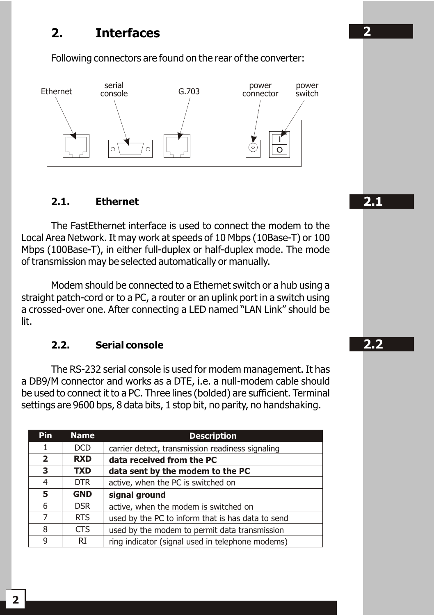## **2. Interfaces**

Following connectors are found on the rear of the converter:



#### **2.1. Ethernet**

The FastEthernet interface is used to connect the modem to the Local Area Network. It may work at speeds of 10 Mbps (10Base-T) or 100 Mbps (100Base-T), in either full-duplex or half-duplex mode. The mode of transmission may be selected automatically or manually.

Modem should be connected to a Ethernet switch or a hub using a straight patch-cord or to a PC, a router or an uplink port in a switch using a crossed-over one. After connecting a LED named "LAN Link" should be lit.

#### **2.2. Serial console**

The RS-232 serial console is used for modem management. It has a DB9/M connector and works as a DTE, i.e. a null-modem cable should be used to connect it to a PC. Three lines (bolded) are sufficient. Terminal settings are 9600 bps, 8 data bits, 1 stop bit, no parity, no handshaking.

| Pin            | <b>Name</b> | <b>Description</b>                                |
|----------------|-------------|---------------------------------------------------|
| 1              | <b>DCD</b>  | carrier detect, transmission readiness signaling  |
| $\overline{2}$ | <b>RXD</b>  | data received from the PC                         |
| 3              | <b>TXD</b>  | data sent by the modem to the PC                  |
| 4              | DTR.        | active, when the PC is switched on                |
| 5              | <b>GND</b>  | signal ground                                     |
| 6              | <b>DSR</b>  | active, when the modem is switched on             |
| $\overline{7}$ | <b>RTS</b>  | used by the PC to inform that is has data to send |
| 8              | <b>CTS</b>  | used by the modem to permit data transmission     |
| 9              | RI          | ring indicator (signal used in telephone modems)  |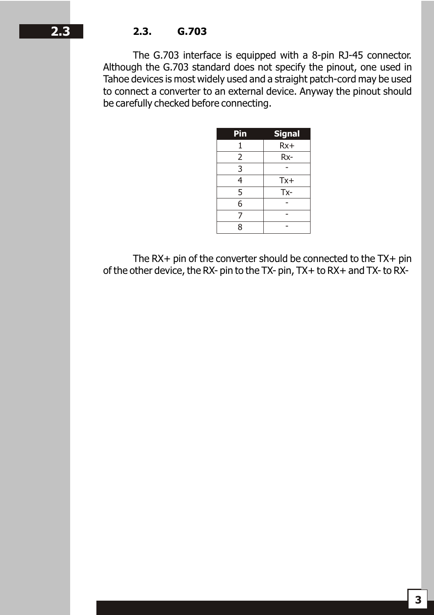The G.703 interface is equipped with a 8-pin RJ-45 connector. Although the G.703 standard does not specify the pinout, one used in Tahoe devices is most widely used and a straight patch-cord may be used to connect a converter to an external device. Anyway the pinout should be carefully checked before connecting.

| Pin                       | <b>Signal</b> |
|---------------------------|---------------|
| 1                         | $Rx+$         |
| 2                         | Rx-           |
| $\overline{\overline{3}}$ |               |
| 4                         | $Tx +$        |
| 5                         | Tx-           |
| 6                         |               |
| 7                         |               |
| 8                         |               |

The RX+ pin of the converter should be connected to the TX+ pin of the other device, the RX- pin to the TX- pin, TX+ to RX+ and TX- to RX-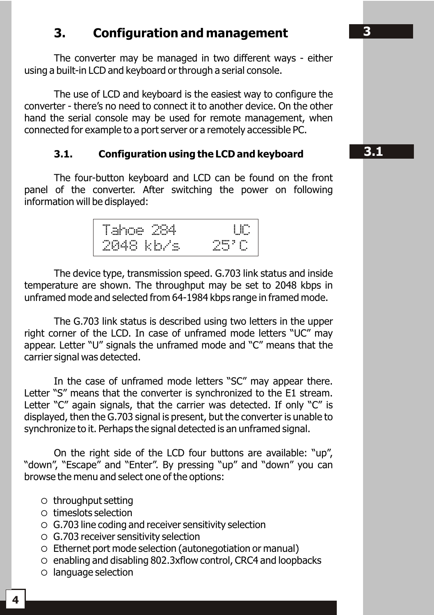## **3. Configuration and management**

The converter may be managed in two different ways - either using a built-in LCD and keyboard or through a serial console.

The use of LCD and keyboard is the easiest way to configure the converter - there's no need to connect it to another device. On the other hand the serial console may be used for remote management, when connected for example to a port server or a remotely accessible PC.

#### **3.1. Configuration using the LCD and keyboard**

The four-button keyboard and LCD can be found on the front panel of the converter. After switching the power on following information will be displayed:



The device type, transmission speed. G.703 link status and inside temperature are shown. The throughput may be set to 2048 kbps in unframed mode and selected from 64-1984 kbps range in framed mode.

The G.703 link status is described using two letters in the upper right corner of the LCD. In case of unframed mode letters "UC" may appear. Letter "U" signals the unframed mode and "C" means that the carrier signal was detected.

In the case of unframed mode letters "SC" may appear there. Letter "S" means that the converter is synchronized to the E1 stream. Letter "C" again signals, that the carrier was detected. If only "C" is displayed, then the G.703 signal is present, but the converter is unable to synchronize to it. Perhaps the signal detected is an unframed signal.

On the right side of the LCD four buttons are available: "up", "down", "Escape" and "Enter". By pressing "up" and "down" you can browse the menu and select one of the options:

- $\circ$  throughput setting
- $\circ$  times of selection
- $\circ$  G.703 line coding and receiver sensitivity selection
- $\circ$  G.703 receiver sensitivity selection
- $\circ$  Ethernet port mode selection (autonegotiation or manual)
- $\circ$  enabling and disabling 802.3xflow control, CRC4 and loopbacks
- $\circ$  language selection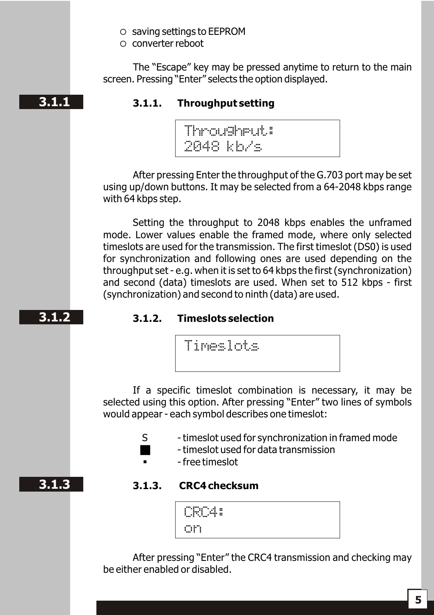- $\circ$  saving settings to EEPROM
- $\circ$  converter reboot

The "Escape" key may be pressed anytime to return to the main screen. Pressing "Enter" selects the option displayed.

#### **3.1.1. Throughput setting**

Throughput: 2048 kb/s

After pressing Enter the throughput of the G.703 port may be set using up/down buttons. It may be selected from a 64-2048 kbps range with 64 kbps step.

Setting the throughput to 2048 kbps enables the unframed mode. Lower values enable the framed mode, where only selected timeslots are used for the transmission. The first timeslot (DS0) is used for synchronization and following ones are used depending on the throughput set - e.g. when it is set to 64 kbps the first (synchronization) and second (data) timeslots are used. When set to 512 kbps - first (synchronization) and second to ninth (data) are used.

#### **3.1.2. Timeslots selection**

Timeslots

If a specific timeslot combination is necessary, it may be selected using this option. After pressing "Enter" two lines of symbols would appear - each symbol describes one timeslot:

- S timeslot used for synchronization in framed mode
	- g timeslot used for data transmission
	- § free timeslot

#### **3.1.3**

**3.1.2**

#### **3.1.3. CRC4 checksum**

| <br>$\blacksquare$<br><br>--<br><br><br>m<br>. .<br>. .<br><b>FREE</b><br>٠<br>$\blacksquare$<br><br>m<br>$\blacksquare$<br>٠ |  |
|-------------------------------------------------------------------------------------------------------------------------------|--|
| .<br>. .<br>. .                                                                                                               |  |

After pressing "Enter" the CRC4 transmission and checking may be either enabled or disabled.

## **3.1.1**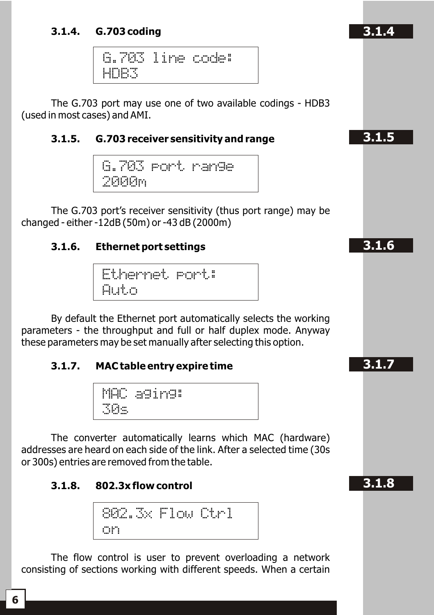#### **3.1.4. G.703 coding**

G.703 line code: HDB3

The G.703 port may use one of two available codings - HDB3 (used in most cases) and AMI.

#### **3.1.5. G.703 receiver sensitivity and range**

G.703 port range  $2000$ m $\,$ 

The G.703 port's receiver sensitivity (thus port range) may be changed - either -12dB (50m) or -43 dB (2000m)

#### **3.1.6. Ethernet port settings**

```
Ethernet port:
Auto
```
By default the Ethernet port automatically selects the working parameters - the throughput and full or half duplex mode. Anyway these parameters may be set manually after selecting this option.

#### **3.1.7. MAC table entry expire time**

MAC aging: 30s

The converter automatically learns which MAC (hardware) addresses are heard on each side of the link. After a selected time (30s or 300s) entries are removed from the table.

#### **3.1.8. 802.3x flow control**

$$
\frac{\text{SO2.3}\times \text{Flow Otr1}}{\text{on}}
$$

The flow control is user to prevent overloading a network consisting of sections working with different speeds. When a certain

**3.1.4**

**3.1.5**

**3.1.6**

**3.1.7 3.1.11**

**3.1.8 3.1.12**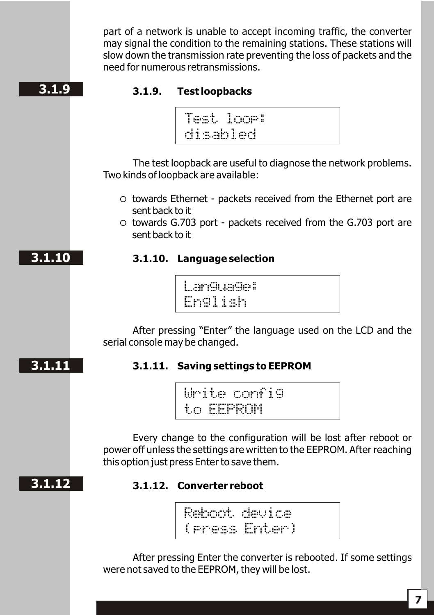part of a network is unable to accept incoming traffic, the converter may signal the condition to the remaining stations. These stations will slow down the transmission rate preventing the loss of packets and the need for numerous retransmissions.

## **3.1.9**

#### **3.1.9. Test loopbacks**



The test loopback are useful to diagnose the network problems. Two kinds of loopback are available:

- $\circ$  towards Ethernet packets received from the Ethernet port are sent back to it
- $\circ$  towards G.703 port packets received from the G.703 port are sent back to it

## **3.1.10. Language selection**



After pressing "Enter" the language used on the LCD and the serial console may be changed.

## **3.1.7 3.1.11**

**3.1.10**

## **3.1.11. Saving settings to EEPROM**

Write config to EEPROM

Every change to the configuration will be lost after reboot or power off unless the settings are written to the EEPROM. After reaching this option just press Enter to save them.

## **3.1.8 3.1.12**

## **3.1.12. Converter reboot**

Reboot device (press Enter)

After pressing Enter the converter is rebooted. If some settings were not saved to the EEPROM, they will be lost.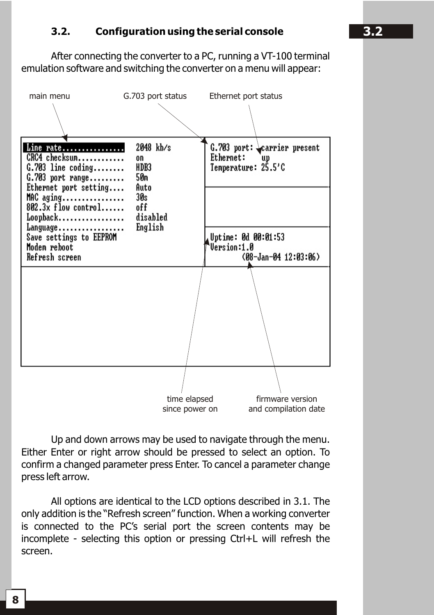#### **3.2. Configuration using the serial console**

After connecting the converter to a PC, running a VT-100 terminal emulation software and switching the converter on a menu will appear:



Up and down arrows may be used to navigate through the menu. Either Enter or right arrow should be pressed to select an option. To confirm a changed parameter press Enter. To cancel a parameter change press left arrow.

All options are identical to the LCD options described in 3.1. The only addition is the "Refresh screen" function. When a working converter is connected to the PC's serial port the screen contents may be incomplete - selecting this option or pressing Ctrl+L will refresh the screen.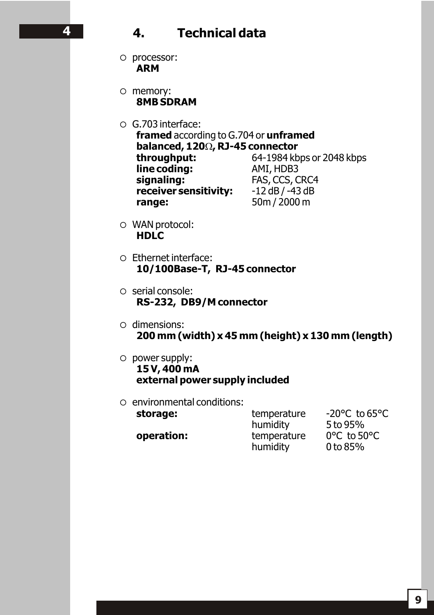## **4. Technical data**

- $\circ$  processor: **ARM**
- $\circ$  memory: **8MB SDRAM**
- $\circ$  G.703 interface: **framed** according to G.704 or **unframed balanced, 120**, **RJ-45 connector**<br>**throughput:** 64-1984 kb **throughput:** 64-1984 kbps or 2048 kbps **line coding:**<br> **diamage 5 and 5 and 5 and 5 and 5 and 6 and 6 and 6 and 6 and 6 and 6 and 6 and 6 and 6 and 6 and 6 and 6 and 6 and 6 and 6 and 6 and 6 and 6 and 6 and 6 and 6 and 6 and 6 and 6 and 6 and 6 and 6 and 6 and FAS, CCS, CRC4 receiver sensitivity:** -12 dB / -43 dB **range:** 50m / 2000 m
- $\circ$  WAN protocol: **HDLC**
- ¡ Ethernet interface: **10/100Base-T, RJ-45 connector**
- $\circ$  serial console: **RS-232, DB9/M connector**
- $\circ$  dimensions: **200 mm (width) x 45 mm (height) x 130 mm (length)**
- $\circ$  power supply: **15 V, 400 mA external power supply included**
- $\circ$  environmental conditions:

storage: temperature -20°C to 65°C **operation:** temperature 0°C to 50°C<br>humidity 0 to 85% humidity

humidity 5 to 95%

**3.2 4**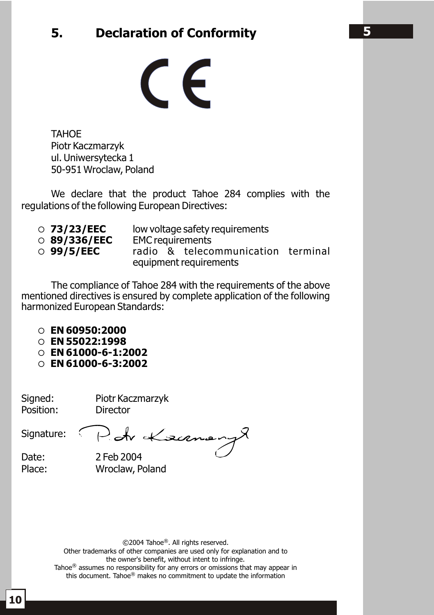## **5. Declaration of Conformity**

 $\epsilon$ 

**TAHOE** Piotr Kaczmarzyk ul. Uniwersytecka 1 50-951 Wroclaw, Poland

We declare that the product Tahoe 284 complies with the regulations of the following European Directives:

- ¡ **73/23/EEC** low voltage safety requirements
- 89/336/EEC EMC requirements<br>○ 99/5/EEC radio & teleco
- 
- ¡ **99/5/EEC** radio & telecommunication terminal equipment requirements

The compliance of Tahoe 284 with the requirements of the above mentioned directives is ensured by complete application of the following harmonized European Standards:

- ¡ **EN 60950:2000**
- ¡ **EN 55022:1998**
- ¡ **EN 61000-6-1:2002**
- ¡ **EN 61000-6-3:2002**

Signed: Piotr Kaczmarzyk Position: Director

Signature: Poh Kæcenen

Date: 2 Feb 2004 Place: Wroclaw, Poland

©2004 Tahoe®. All rights reserved.

Other trademarks of other companies are used only for explanation and to the owner's benefit, without intent to infringe.

Tahoe<sup>®</sup> assumes no responsibility for any errors or omissions that may appear in this document. Tahoe $^\circledR$  makes no commitment to update the information